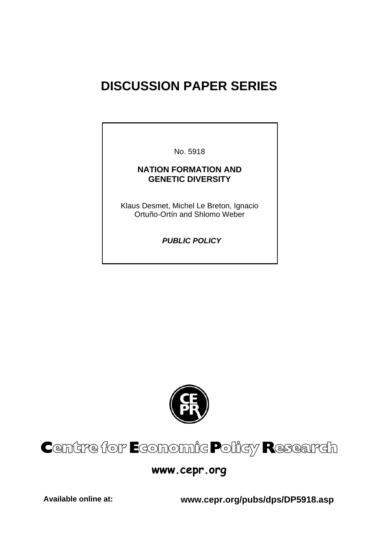# **DISCUSSION PAPER SERIES**

No. 5918

# **NATION FORMATION AND GENETIC DIVERSITY**

Klaus Desmet, Michel Le Breton, Ignacio Ortuño-Ortín and Shlomo Weber

 *PUBLIC POLICY* 



# Centre for Economic Policy Research

# **www.cepr.org**

**Available online at: www.cepr.org/pubs/dps/DP5918.asp**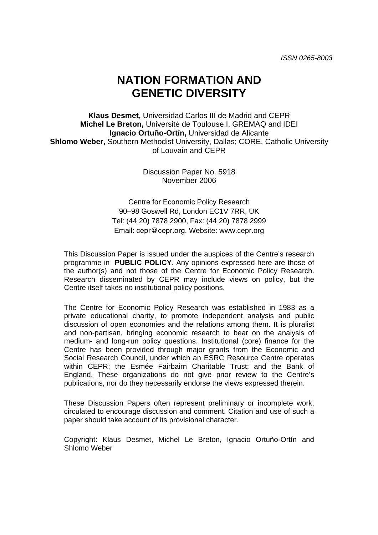# **NATION FORMATION AND GENETIC DIVERSITY**

**Klaus Desmet,** Universidad Carlos III de Madrid and CEPR **Michel Le Breton,** Université de Toulouse I, GREMAQ and IDEI **Ignacio Ortuño-Ortín,** Universidad de Alicante **Shlomo Weber,** Southern Methodist University, Dallas; CORE, Catholic University of Louvain and CEPR

> Discussion Paper No. 5918 November 2006

Centre for Economic Policy Research 90–98 Goswell Rd, London EC1V 7RR, UK Tel: (44 20) 7878 2900, Fax: (44 20) 7878 2999 Email: cepr@cepr.org, Website: www.cepr.org

This Discussion Paper is issued under the auspices of the Centre's research programme in **PUBLIC POLICY**. Any opinions expressed here are those of the author(s) and not those of the Centre for Economic Policy Research. Research disseminated by CEPR may include views on policy, but the Centre itself takes no institutional policy positions.

The Centre for Economic Policy Research was established in 1983 as a private educational charity, to promote independent analysis and public discussion of open economies and the relations among them. It is pluralist and non-partisan, bringing economic research to bear on the analysis of medium- and long-run policy questions. Institutional (core) finance for the Centre has been provided through major grants from the Economic and Social Research Council, under which an ESRC Resource Centre operates within CEPR; the Esmée Fairbairn Charitable Trust; and the Bank of England. These organizations do not give prior review to the Centre's publications, nor do they necessarily endorse the views expressed therein.

These Discussion Papers often represent preliminary or incomplete work, circulated to encourage discussion and comment. Citation and use of such a paper should take account of its provisional character.

Copyright: Klaus Desmet, Michel Le Breton, Ignacio Ortuño-Ortín and Shlomo Weber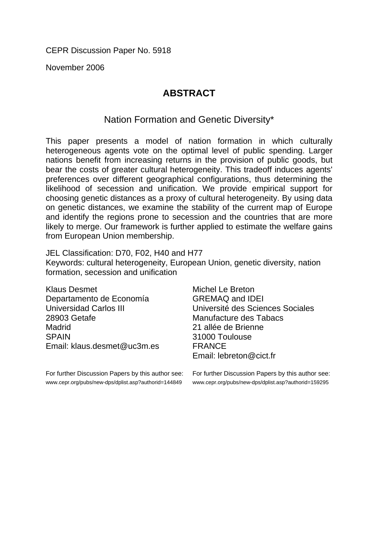November 2006

# **ABSTRACT**

Nation Formation and Genetic Diversity\*

This paper presents a model of nation formation in which culturally heterogeneous agents vote on the optimal level of public spending. Larger nations benefit from increasing returns in the provision of public goods, but bear the costs of greater cultural heterogeneity. This tradeoff induces agents' preferences over different geographical configurations, thus determining the likelihood of secession and unification. We provide empirical support for choosing genetic distances as a proxy of cultural heterogeneity. By using data on genetic distances, we examine the stability of the current map of Europe and identify the regions prone to secession and the countries that are more likely to merge. Our framework is further applied to estimate the welfare gains from European Union membership.

JEL Classification: D70, F02, H40 and H77 Keywords: cultural heterogeneity, European Union, genetic diversity, nation formation, secession and unification

Klaus Desmet Departamento de Economía Universidad Carlos III 28903 Getafe Madrid **SPAIN** Email: klaus.desmet@uc3m.es

For further Discussion Papers by this author see: www.cepr.org/pubs/new-dps/dplist.asp?authorid=144849

Michel Le Breton GREMAQ and IDEI Université des Sciences Sociales Manufacture des Tabacs 21 allée de Brienne 31000 Toulouse FRANCE Email: lebreton@cict.fr

For further Discussion Papers by this author see: www.cepr.org/pubs/new-dps/dplist.asp?authorid=159295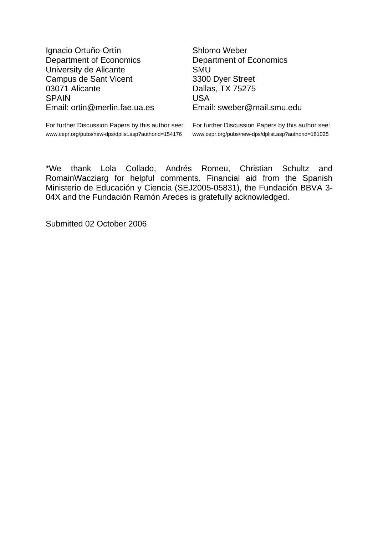Ignacio Ortuño-Ortín Department of Economics University de Alicante Campus de Sant Vicent 03071 Alicante SPAIN Email: ortin@merlin.fae.ua.es Shlomo Weber Department of Economics **SMU** 3300 Dyer Street Dallas, TX 75275 USA Email: sweber@mail.smu.edu

For further Discussion Papers by this author see: www.cepr.org/pubs/new-dps/dplist.asp?authorid=154176

For further Discussion Papers by this author see: www.cepr.org/pubs/new-dps/dplist.asp?authorid=161025

\*We thank Lola Collado, Andrés Romeu, Christian Schultz and RomainWacziarg for helpful comments. Financial aid from the Spanish Ministerio de Educación y Ciencia (SEJ2005-05831), the Fundación BBVA 3- 04X and the Fundación Ramón Areces is gratefully acknowledged.

Submitted 02 October 2006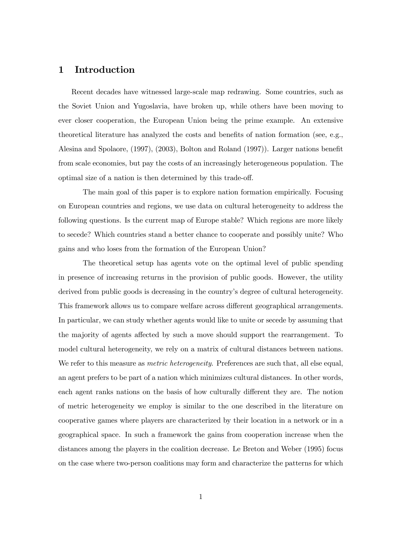## 1 Introduction

Recent decades have witnessed large-scale map redrawing. Some countries, such as the Soviet Union and Yugoslavia, have broken up, while others have been moving to ever closer cooperation, the European Union being the prime example. An extensive theoretical literature has analyzed the costs and benefits of nation formation (see, e.g., Alesina and Spolaore, (1997), (2003), Bolton and Roland (1997)). Larger nations benefit from scale economies, but pay the costs of an increasingly heterogeneous population. The optimal size of a nation is then determined by this trade-off.

The main goal of this paper is to explore nation formation empirically. Focusing on European countries and regions, we use data on cultural heterogeneity to address the following questions. Is the current map of Europe stable? Which regions are more likely to secede? Which countries stand a better chance to cooperate and possibly unite? Who gains and who loses from the formation of the European Union?

The theoretical setup has agents vote on the optimal level of public spending in presence of increasing returns in the provision of public goods. However, the utility derived from public goods is decreasing in the country's degree of cultural heterogeneity. This framework allows us to compare welfare across different geographical arrangements. In particular, we can study whether agents would like to unite or secede by assuming that the majority of agents affected by such a move should support the rearrangement. To model cultural heterogeneity, we rely on a matrix of cultural distances between nations. We refer to this measure as *metric heterogeneity*. Preferences are such that, all else equal, an agent prefers to be part of a nation which minimizes cultural distances. In other words, each agent ranks nations on the basis of how culturally different they are. The notion of metric heterogeneity we employ is similar to the one described in the literature on cooperative games where players are characterized by their location in a network or in a geographical space. In such a framework the gains from cooperation increase when the distances among the players in the coalition decrease. Le Breton and Weber (1995) focus on the case where two-person coalitions may form and characterize the patterns for which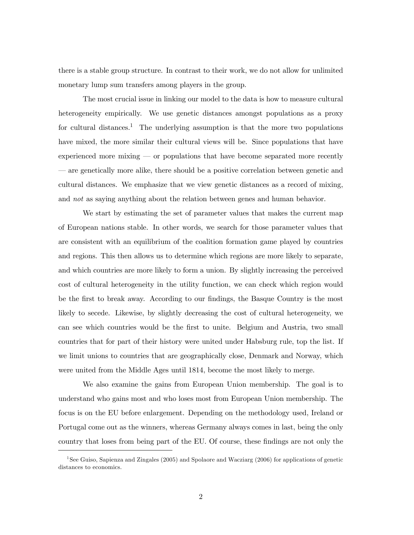there is a stable group structure. In contrast to their work, we do not allow for unlimited monetary lump sum transfers among players in the group.

The most crucial issue in linking our model to the data is how to measure cultural heterogeneity empirically. We use genetic distances amongst populations as a proxy for cultural distances.<sup>1</sup> The underlying assumption is that the more two populations have mixed, the more similar their cultural views will be. Since populations that have experienced more mixing  $\sim$  or populations that have become separated more recently ñ are genetically more alike, there should be a positive correlation between genetic and cultural distances. We emphasize that we view genetic distances as a record of mixing, and not as saying anything about the relation between genes and human behavior.

We start by estimating the set of parameter values that makes the current map of European nations stable. In other words, we search for those parameter values that are consistent with an equilibrium of the coalition formation game played by countries and regions. This then allows us to determine which regions are more likely to separate, and which countries are more likely to form a union. By slightly increasing the perceived cost of cultural heterogeneity in the utility function, we can check which region would be the first to break away. According to our findings, the Basque Country is the most likely to secede. Likewise, by slightly decreasing the cost of cultural heterogeneity, we can see which countries would be the first to unite. Belgium and Austria, two small countries that for part of their history were united under Habsburg rule, top the list. If we limit unions to countries that are geographically close, Denmark and Norway, which were united from the Middle Ages until 1814, become the most likely to merge.

We also examine the gains from European Union membership. The goal is to understand who gains most and who loses most from European Union membership. The focus is on the EU before enlargement. Depending on the methodology used, Ireland or Portugal come out as the winners, whereas Germany always comes in last, being the only country that loses from being part of the EU. Of course, these findings are not only the

<sup>&</sup>lt;sup>1</sup>See Guiso, Sapienza and Zingales (2005) and Spolaore and Wacziarg (2006) for applications of genetic distances to economics.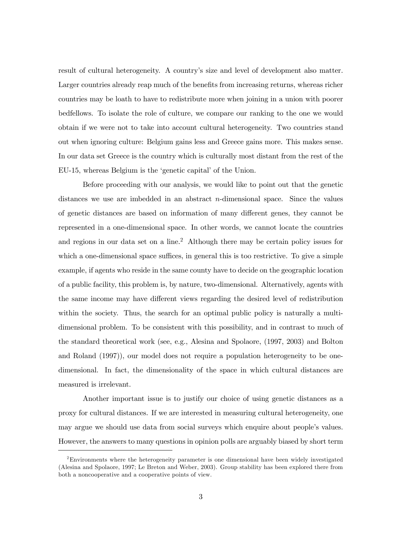result of cultural heterogeneity. A countryís size and level of development also matter. Larger countries already reap much of the benefits from increasing returns, whereas richer countries may be loath to have to redistribute more when joining in a union with poorer bedfellows. To isolate the role of culture, we compare our ranking to the one we would obtain if we were not to take into account cultural heterogeneity. Two countries stand out when ignoring culture: Belgium gains less and Greece gains more. This makes sense. In our data set Greece is the country which is culturally most distant from the rest of the EU-15, whereas Belgium is the 'genetic capital' of the Union.

Before proceeding with our analysis, we would like to point out that the genetic distances we use are imbedded in an abstract n-dimensional space. Since the values of genetic distances are based on information of many different genes, they cannot be represented in a one-dimensional space. In other words, we cannot locate the countries and regions in our data set on a line.<sup>2</sup> Although there may be certain policy issues for which a one-dimensional space suffices, in general this is too restrictive. To give a simple example, if agents who reside in the same county have to decide on the geographic location of a public facility, this problem is, by nature, two-dimensional. Alternatively, agents with the same income may have different views regarding the desired level of redistribution within the society. Thus, the search for an optimal public policy is naturally a multidimensional problem. To be consistent with this possibility, and in contrast to much of the standard theoretical work (see, e.g., Alesina and Spolaore, (1997, 2003) and Bolton and Roland (1997)), our model does not require a population heterogeneity to be onedimensional. In fact, the dimensionality of the space in which cultural distances are measured is irrelevant.

Another important issue is to justify our choice of using genetic distances as a proxy for cultural distances. If we are interested in measuring cultural heterogeneity, one may argue we should use data from social surveys which enquire about people's values. However, the answers to many questions in opinion polls are arguably biased by short term

<sup>2</sup>Environments where the heterogeneity parameter is one dimensional have been widely investigated (Alesina and Spolaore, 1997; Le Breton and Weber, 2003). Group stability has been explored there from both a noncooperative and a cooperative points of view.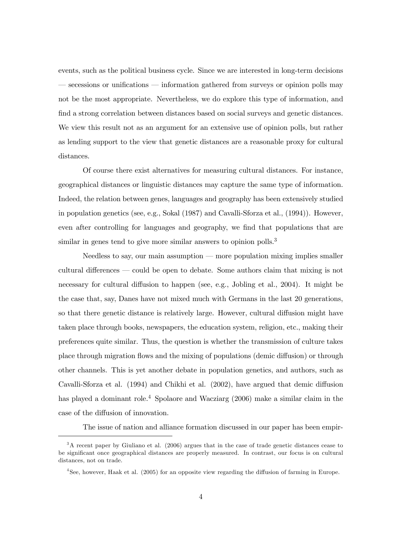events, such as the political business cycle. Since we are interested in long-term decisions secessions or unifications — information gathered from surveys or opinion polls may not be the most appropriate. Nevertheless, we do explore this type of information, and find a strong correlation between distances based on social surveys and genetic distances. We view this result not as an argument for an extensive use of opinion polls, but rather as lending support to the view that genetic distances are a reasonable proxy for cultural distances.

Of course there exist alternatives for measuring cultural distances. For instance, geographical distances or linguistic distances may capture the same type of information. Indeed, the relation between genes, languages and geography has been extensively studied in population genetics (see, e.g., Sokal (1987) and Cavalli-Sforza et al., (1994)). However, even after controlling for languages and geography, we find that populations that are similar in genes tend to give more similar answers to opinion polls.<sup>3</sup>

Needless to say, our main assumption  $-$  more population mixing implies smaller cultural differences  $\sim$  could be open to debate. Some authors claim that mixing is not necessary for cultural diffusion to happen (see, e.g., Jobling et al., 2004). It might be the case that, say, Danes have not mixed much with Germans in the last 20 generations, so that there genetic distance is relatively large. However, cultural diffusion might have taken place through books, newspapers, the education system, religion, etc., making their preferences quite similar. Thus, the question is whether the transmission of culture takes place through migration flows and the mixing of populations (demic diffusion) or through other channels. This is yet another debate in population genetics, and authors, such as Cavalli-Sforza et al. (1994) and Chikhi et al. (2002), have argued that demic diffusion has played a dominant role.<sup>4</sup> Spolaore and Wacziarg (2006) make a similar claim in the case of the diffusion of innovation.

The issue of nation and alliance formation discussed in our paper has been empir-

<sup>3</sup>A recent paper by Giuliano et al. (2006) argues that in the case of trade genetic distances cease to be significant once geographical distances are properly measured. In contrast, our focus is on cultural distances, not on trade.

<sup>4</sup>See, however, Haak et al. (2005) for an opposite view regarding the diffusion of farming in Europe.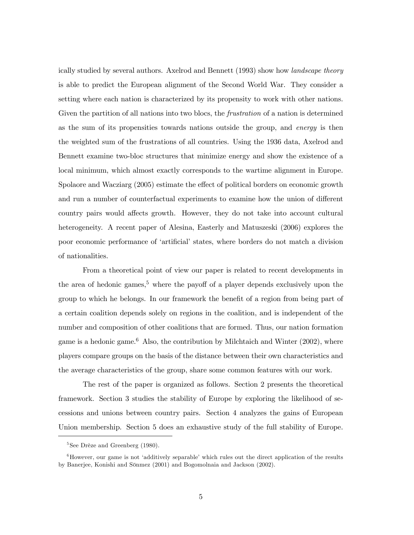ically studied by several authors. Axelrod and Bennett (1993) show how landscape theory is able to predict the European alignment of the Second World War. They consider a setting where each nation is characterized by its propensity to work with other nations. Given the partition of all nations into two blocs, the *frustration* of a nation is determined as the sum of its propensities towards nations outside the group, and energy is then the weighted sum of the frustrations of all countries. Using the 1936 data, Axelrod and Bennett examine two-bloc structures that minimize energy and show the existence of a local minimum, which almost exactly corresponds to the wartime alignment in Europe. Spolaore and Wacziarg (2005) estimate the effect of political borders on economic growth and run a number of counterfactual experiments to examine how the union of different country pairs would affects growth. However, they do not take into account cultural heterogeneity. A recent paper of Alesina, Easterly and Matuszeski (2006) explores the poor economic performance of ëartificialí states, where borders do not match a division of nationalities.

From a theoretical point of view our paper is related to recent developments in the area of hedonic games,<sup>5</sup> where the payoff of a player depends exclusively upon the group to which he belongs. In our framework the benefit of a region from being part of a certain coalition depends solely on regions in the coalition, and is independent of the number and composition of other coalitions that are formed. Thus, our nation formation game is a hedonic game.<sup>6</sup> Also, the contribution by Milchtaich and Winter  $(2002)$ , where players compare groups on the basis of the distance between their own characteristics and the average characteristics of the group, share some common features with our work.

The rest of the paper is organized as follows. Section 2 presents the theoretical framework. Section 3 studies the stability of Europe by exploring the likelihood of secessions and unions between country pairs. Section 4 analyzes the gains of European Union membership. Section 5 does an exhaustive study of the full stability of Europe.

 ${}^{5}$ See Drèze and Greenberg (1980).

 ${}^{6}$ However, our game is not 'additively separable' which rules out the direct application of the results by Banerjee, Konishi and Sönmez (2001) and Bogomolnaia and Jackson (2002).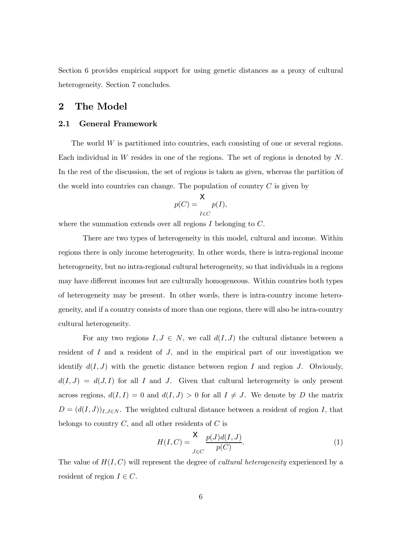Section 6 provides empirical support for using genetic distances as a proxy of cultural heterogeneity. Section 7 concludes.

### 2 The Model

#### 2.1 General Framework

The world W is partitioned into countries, each consisting of one or several regions. Each individual in W resides in one of the regions. The set of regions is denoted by N. In the rest of the discussion, the set of regions is taken as given, whereas the partition of the world into countries can change. The population of country  $C$  is given by

$$
p(C) = \frac{\mathsf{X}}{I \in C} p(I),
$$

where the summation extends over all regions  $I$  belonging to  $C$ .

There are two types of heterogeneity in this model, cultural and income. Within regions there is only income heterogeneity. In other words, there is intra-regional income heterogeneity, but no intra-regional cultural heterogeneity, so that individuals in a regions may have different incomes but are culturally homogeneous. Within countries both types of heterogeneity may be present. In other words, there is intra-country income heterogeneity, and if a country consists of more than one regions, there will also be intra-country cultural heterogeneity.

For any two regions  $I, J \in N$ , we call  $d(I, J)$  the cultural distance between a resident of  $I$  and a resident of  $J$ , and in the empirical part of our investigation we identify  $d(I, J)$  with the genetic distance between region I and region J. Obviously,  $d(I, J) = d(J, I)$  for all I and J. Given that cultural heterogeneity is only present across regions,  $d(I, I) = 0$  and  $d(I, J) > 0$  for all  $I \neq J$ . We denote by D the matrix  $D = (d(I, J))_{I, J \in \mathbb{N}}$ . The weighted cultural distance between a resident of region I, that belongs to country  $C$ , and all other residents of  $C$  is

$$
H(I,C) = \frac{X}{J \in C} \frac{p(J)d(I,J)}{p(C)}.
$$
\n<sup>(1)</sup>

The value of  $H(I, C)$  will represent the degree of *cultural heterogeneity* experienced by a resident of region  $I \in C$ .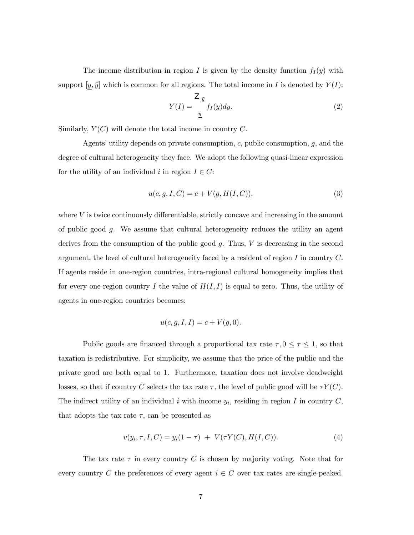The income distribution in region I is given by the density function  $f_I(y)$  with support  $[\underline{y}, \overline{y}]$  which is common for all regions. The total income in I is denoted by  $Y(I)$ :

$$
Y(I) = \frac{Z_{\bar{y}}}{\underline{y}} f_I(y) dy.
$$
 (2)

Similarly,  $Y(C)$  will denote the total income in country C.

Agents' utility depends on private consumption,  $c$ , public consumption,  $g$ , and the degree of cultural heterogeneity they face. We adopt the following quasi-linear expression for the utility of an individual i in region  $I \in C$ :

$$
u(c, g, I, C) = c + V(g, H(I, C)),
$$
\n(3)

where  $V$  is twice continuously differentiable, strictly concave and increasing in the amount of public good g. We assume that cultural heterogeneity reduces the utility an agent derives from the consumption of the public good  $g$ . Thus,  $V$  is decreasing in the second argument, the level of cultural heterogeneity faced by a resident of region I in country C. If agents reside in one-region countries, intra-regional cultural homogeneity implies that for every one-region country I the value of  $H(I, I)$  is equal to zero. Thus, the utility of agents in one-region countries becomes:

$$
u(c, g, I, I) = c + V(g, 0).
$$

Public goods are financed through a proportional tax rate  $\tau, 0 \le \tau \le 1$ , so that taxation is redistributive. For simplicity, we assume that the price of the public and the private good are both equal to 1. Furthermore, taxation does not involve deadweight losses, so that if country C selects the tax rate  $\tau$ , the level of public good will be  $\tau Y(C)$ . The indirect utility of an individual i with income  $y_i$ , residing in region I in country C, that adopts the tax rate  $\tau$ , can be presented as

$$
v(y_i, \tau, I, C) = y_i(1 - \tau) + V(\tau Y(C), H(I, C)).
$$
\n(4)

The tax rate  $\tau$  in every country C is chosen by majority voting. Note that for every country C the preferences of every agent  $i \in C$  over tax rates are single-peaked.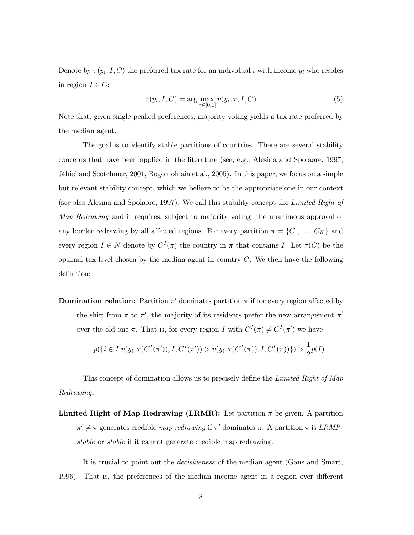Denote by  $\tau(y_i,I,C)$  the preferred tax rate for an individual i with income  $y_i$  who resides in region  $I \in C$ :

$$
\tau(y_i, I, C) = \arg\max_{\tau \in [0,1]} v(y_i, \tau, I, C)
$$
\n
$$
(5)
$$

Note that, given single-peaked preferences, majority voting yields a tax rate preferred by the median agent.

The goal is to identify stable partitions of countries. There are several stability concepts that have been applied in the literature (see, e.g., Alesina and Spolaore, 1997, Jéhiel and Scotchmer, 2001, Bogomolnaia et al., 2005). In this paper, we focus on a simple but relevant stability concept, which we believe to be the appropriate one in our context (see also Alesina and Spolaore, 1997). We call this stability concept the Limited Right of Map Redrawing and it requires, subject to majority voting, the unanimous approval of any border redrawing by all affected regions. For every partition  $\pi = \{C_1, \ldots, C_K\}$  and every region  $I \in N$  denote by  $C^{I}(\pi)$  the country in  $\pi$  that contains I. Let  $\tau(C)$  be the optimal tax level chosen by the median agent in country  $C$ . We then have the following definition:

**Domination relation:** Partition  $\pi'$  dominates partition  $\pi$  if for every region affected by the shift from  $\pi$  to  $\pi'$ , the majority of its residents prefer the new arrangement  $\pi'$ over the old one  $\pi$ . That is, for every region I with  $C^{I}(\pi) \neq C^{I}(\pi')$  we have

$$
p(\lbrace i \in I | v(y_i, \tau(C^I(\pi')), I, C^I(\pi')) > v(y_i, \tau(C^I(\pi)), I, C^I(\pi)) \rbrace) > \frac{1}{2}p(I).
$$

This concept of domination allows us to precisely define the Limited Right of Map Redrawing:

Limited Right of Map Redrawing (LRMR): Let partition  $\pi$  be given. A partition  $\pi' \neq \pi$  generates credible map redrawing if  $\pi'$  dominates  $\pi$ . A partition  $\pi$  is LRMRstable or stable if it cannot generate credible map redrawing.

It is crucial to point out the decisiveness of the median agent (Gans and Smart, 1996). That is, the preferences of the median income agent in a region over different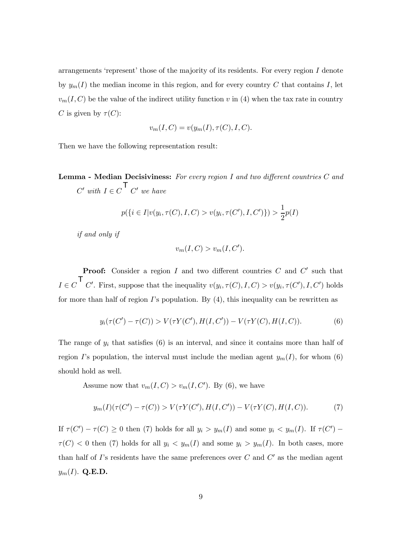arrangements 'represent' those of the majority of its residents. For every region  $I$  denote by  $y_m(I)$  the median income in this region, and for every country C that contains I, let  $v_m(I, C)$  be the value of the indirect utility function v in (4) when the tax rate in country C is given by  $\tau(C)$ :

$$
v_m(I, C) = v(y_m(I), \tau(C), I, C).
$$

Then we have the following representation result:

Lemma - Median Decisiviness: For every region I and two different countries C and  $C'$  with  $I \in C'$   $C'$  we have

$$
p(\{i \in I | v(y_i, \tau(C), I, C) > v(y_i, \tau(C'), I, C')\}) > \frac{1}{2}p(I)
$$

if and only if

$$
v_m(I, C) > v_m(I, C').
$$

**Proof:** Consider a region I and two different countries  $C$  and  $C'$  such that  $I \in C$   $C'$ . First, suppose that the inequality  $v(y_i, \tau(C), I, C) > v(y_i, \tau(C'), I, C')$  holds for more than half of region  $I$ 's population. By  $(4)$ , this inequality can be rewritten as

$$
y_i(\tau(C') - \tau(C)) > V(\tau Y(C'), H(I, C')) - V(\tau Y(C), H(I, C)). \tag{6}
$$

The range of  $y_i$  that satisfies  $(6)$  is an interval, and since it contains more than half of region I's population, the interval must include the median agent  $y_m(I)$ , for whom (6) should hold as well.

Assume now that  $v_m(I, C) > v_m(I, C')$ . By (6), we have

$$
y_m(I)(\tau(C') - \tau(C)) > V(\tau Y(C'), H(I, C')) - V(\tau Y(C), H(I, C)). \tag{7}
$$

If  $\tau(C') - \tau(C) \geq 0$  then (7) holds for all  $y_i > y_m(I)$  and some  $y_i < y_m(I)$ . If  $\tau(C')$  –  $\tau(C)$  < 0 then (7) holds for all  $y_i$  <  $y_m(I)$  and some  $y_i > y_m(I)$ . In both cases, more than half of  $\Gamma$ 's residents have the same preferences over  $C$  and  $C'$  as the median agent  $y_m(I)$ . Q.E.D.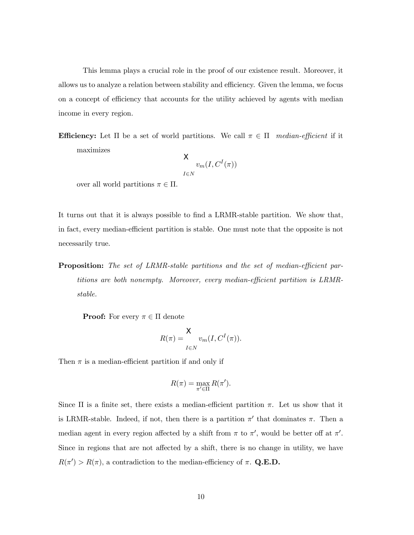This lemma plays a crucial role in the proof of our existence result. Moreover, it allows us to analyze a relation between stability and efficiency. Given the lemma, we focus on a concept of efficiency that accounts for the utility achieved by agents with median income in every region.

**Efficiency:** Let  $\Pi$  be a set of world partitions. We call  $\pi \in \Pi$  median-efficient if it maximizes

$$
\mathsf{X}_{v_m(I, C^I(\pi))}
$$

over all world partitions  $\pi \in \Pi$ .

It turns out that it is always possible to find a LRMR-stable partition. We show that, in fact, every median-efficient partition is stable. One must note that the opposite is not necessarily true.

Proposition: The set of LRMR-stable partitions and the set of median-efficient partitions are both nonempty. Moreover, every median-efficient partition is LRMRstable.

**Proof:** For every  $\pi \in \Pi$  denote

$$
R(\pi) = \frac{X}{I \in N} v_m(I, C^I(\pi)).
$$

Then  $\pi$  is a median-efficient partition if and only if

$$
R(\pi) = \max_{\pi' \in \Pi} R(\pi').
$$

Since  $\Pi$  is a finite set, there exists a median-efficient partition  $\pi$ . Let us show that it is LRMR-stable. Indeed, if not, then there is a partition  $\pi'$  that dominates  $\pi$ . Then a median agent in every region affected by a shift from  $\pi$  to  $\pi'$ , would be better off at  $\pi'$ . Since in regions that are not affected by a shift, there is no change in utility, we have  $R(\pi') > R(\pi)$ , a contradiction to the median-efficiency of  $\pi$ . Q.E.D.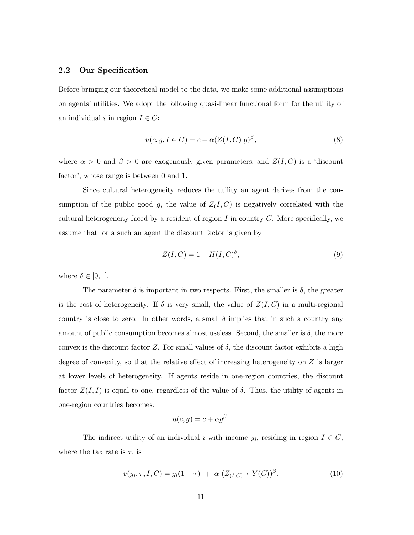#### 2.2 Our Specification

Before bringing our theoretical model to the data, we make some additional assumptions on agentsí utilities. We adopt the following quasi-linear functional form for the utility of an individual i in region  $I \in C$ :

$$
u(c, g, I \in C) = c + \alpha (Z(I, C) g)^{\beta}, \qquad (8)
$$

where  $\alpha > 0$  and  $\beta > 0$  are exogenously given parameters, and  $Z(I, C)$  is a 'discount factor<sup>'</sup>, whose range is between 0 and 1.

Since cultural heterogeneity reduces the utility an agent derives from the consumption of the public good g, the value of  $Z(I, C)$  is negatively correlated with the cultural heterogeneity faced by a resident of region  $I$  in country  $C$ . More specifically, we assume that for a such an agent the discount factor is given by

$$
Z(I, C) = 1 - H(I, C)^{\delta},\tag{9}
$$

where  $\delta \in [0, 1]$ .

The parameter  $\delta$  is important in two respects. First, the smaller is  $\delta$ , the greater is the cost of heterogeneity. If  $\delta$  is very small, the value of  $Z(I, C)$  in a multi-regional country is close to zero. In other words, a small  $\delta$  implies that in such a country any amount of public consumption becomes almost useless. Second, the smaller is  $\delta$ , the more convex is the discount factor Z. For small values of  $\delta$ , the discount factor exhibits a high degree of convexity, so that the relative effect of increasing heterogeneity on Z is larger at lower levels of heterogeneity. If agents reside in one-region countries, the discount factor  $Z(I, I)$  is equal to one, regardless of the value of  $\delta$ . Thus, the utility of agents in one-region countries becomes:

$$
u(c,g) = c + \alpha g^{\beta}.
$$

The indirect utility of an individual i with income  $y_i$ , residing in region  $I \in C$ , where the tax rate is  $\tau$ , is

$$
v(y_i, \tau, I, C) = y_i(1 - \tau) + \alpha \ (Z_{(I,C)} \ \tau \ Y(C))^{\beta}.
$$
 (10)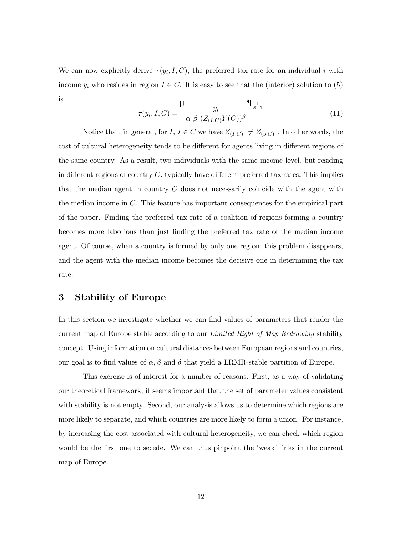We can now explicitly derive  $\tau(y_i,I,C)$ , the preferred tax rate for an individual i with income  $y_i$  who resides in region  $I \in C$ . It is easy to see that the (interior) solution to (5) is

$$
\tau(y_i, I, C) = \frac{\mu}{\alpha \beta \ (Z_{(I,C)}Y(C))^{\beta}} \prod_{\beta=1}^{1}
$$
\n(11)

Notice that, in general, for  $I, J \in C$  we have  $Z_{(I,C)} \neq Z_{(J,C)}$ . In other words, the cost of cultural heterogeneity tends to be different for agents living in different regions of the same country. As a result, two individuals with the same income level, but residing in different regions of country  $C$ , typically have different preferred tax rates. This implies that the median agent in country C does not necessarily coincide with the agent with the median income in  $C$ . This feature has important consequences for the empirical part of the paper. Finding the preferred tax rate of a coalition of regions forming a country becomes more laborious than just finding the preferred tax rate of the median income agent. Of course, when a country is formed by only one region, this problem disappears, and the agent with the median income becomes the decisive one in determining the tax rate.

### 3 Stability of Europe

In this section we investigate whether we can find values of parameters that render the current map of Europe stable according to our *Limited Right of Map Redrawing* stability concept. Using information on cultural distances between European regions and countries, our goal is to find values of  $\alpha, \beta$  and  $\delta$  that yield a LRMR-stable partition of Europe.

This exercise is of interest for a number of reasons. First, as a way of validating our theoretical framework, it seems important that the set of parameter values consistent with stability is not empty. Second, our analysis allows us to determine which regions are more likely to separate, and which countries are more likely to form a union. For instance, by increasing the cost associated with cultural heterogeneity, we can check which region would be the first one to secede. We can thus pinpoint the 'weak' links in the current map of Europe.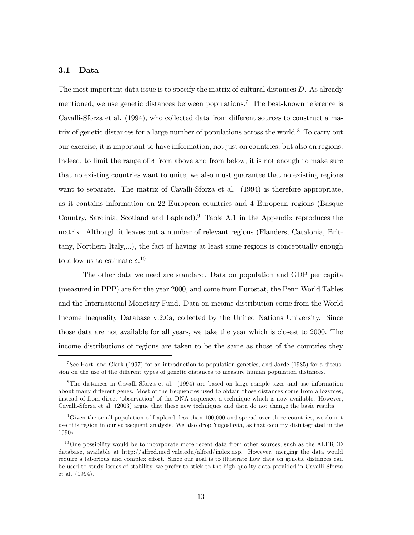#### 3.1 Data

The most important data issue is to specify the matrix of cultural distances  $D$ . As already mentioned, we use genetic distances between populations.<sup>7</sup> The best-known reference is Cavalli-Sforza et al. (1994), who collected data from different sources to construct a matrix of genetic distances for a large number of populations across the world.8 To carry out our exercise, it is important to have information, not just on countries, but also on regions. Indeed, to limit the range of  $\delta$  from above and from below, it is not enough to make sure that no existing countries want to unite, we also must guarantee that no existing regions want to separate. The matrix of Cavalli-Sforza et al.  $(1994)$  is therefore appropriate, as it contains information on 22 European countries and 4 European regions (Basque Country, Sardinia, Scotland and Lapland).9 Table A.1 in the Appendix reproduces the matrix. Although it leaves out a number of relevant regions (Flanders, Catalonia, Brittany, Northern Italy,...), the fact of having at least some regions is conceptually enough to allow us to estimate  $\delta$ <sup>10</sup>

The other data we need are standard. Data on population and GDP per capita (measured in PPP) are for the year 2000, and come from Eurostat, the Penn World Tables and the International Monetary Fund. Data on income distribution come from the World Income Inequality Database v.2.0a, collected by the United Nations University. Since those data are not available for all years, we take the year which is closest to 2000. The income distributions of regions are taken to be the same as those of the countries they

<sup>7</sup>See Hartl and Clark (1997) for an introduction to population genetics, and Jorde (1985) for a discussion on the use of the different types of genetic distances to measure human population distances.

<sup>8</sup>The distances in Cavalli-Sforza et al. (1994) are based on large sample sizes and use information about many different genes. Most of the frequencies used to obtain those distances come from allozymes, instead of from direct ëobservationí of the DNA sequence, a technique which is now available. However, Cavalli-Sforza et al. (2003) argue that these new techniques and data do not change the basic results.

<sup>&</sup>lt;sup>9</sup>Given the small population of Lapland, less than  $100,000$  and spread over three countries, we do not use this region in our subsequent analysis. We also drop Yugoslavia, as that country disintegrated in the 1990s.

 $10$ One possibility would be to incorporate more recent data from other sources, such as the ALFRED database, available at http://alfred.med.yale.edu/alfred/index.asp. However, merging the data would require a laborious and complex effort. Since our goal is to illustrate how data on genetic distances can be used to study issues of stability, we prefer to stick to the high quality data provided in Cavalli-Sforza et al. (1994).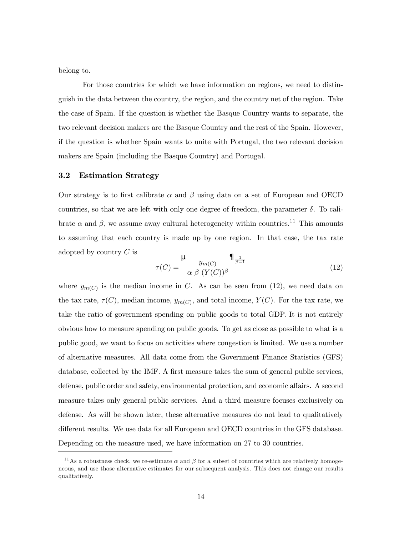belong to.

For those countries for which we have information on regions, we need to distinguish in the data between the country, the region, and the country net of the region. Take the case of Spain. If the question is whether the Basque Country wants to separate, the two relevant decision makers are the Basque Country and the rest of the Spain. However, if the question is whether Spain wants to unite with Portugal, the two relevant decision makers are Spain (including the Basque Country) and Portugal.

#### 3.2 Estimation Strategy

Our strategy is to first calibrate  $\alpha$  and  $\beta$  using data on a set of European and OECD countries, so that we are left with only one degree of freedom, the parameter  $\delta$ . To calibrate  $\alpha$  and  $\beta$ , we assume away cultural heterogeneity within countries.<sup>11</sup> This amounts to assuming that each country is made up by one region. In that case, the tax rate adopted by country  $C$  is

$$
\tau(C) = \frac{\mu}{\alpha \beta (Y(C))^{\beta}} \prod_{\beta=1}^{\infty} \tag{12}
$$

where  $y_{m(C)}$  is the median income in C. As can be seen from (12), we need data on the tax rate,  $\tau(C)$ , median income,  $y_{m(C)}$ , and total income,  $Y(C)$ . For the tax rate, we take the ratio of government spending on public goods to total GDP. It is not entirely obvious how to measure spending on public goods. To get as close as possible to what is a public good, we want to focus on activities where congestion is limited. We use a number of alternative measures. All data come from the Government Finance Statistics (GFS) database, collected by the IMF. A first measure takes the sum of general public services, defense, public order and safety, environmental protection, and economic affairs. A second measure takes only general public services. And a third measure focuses exclusively on defense. As will be shown later, these alternative measures do not lead to qualitatively different results. We use data for all European and OECD countries in the GFS database. Depending on the measure used, we have information on 27 to 30 countries.

<sup>&</sup>lt;sup>11</sup>As a robustness check, we re-estimate  $\alpha$  and  $\beta$  for a subset of countries which are relatively homogeneous, and use those alternative estimates for our subsequent analysis. This does not change our results qualitatively.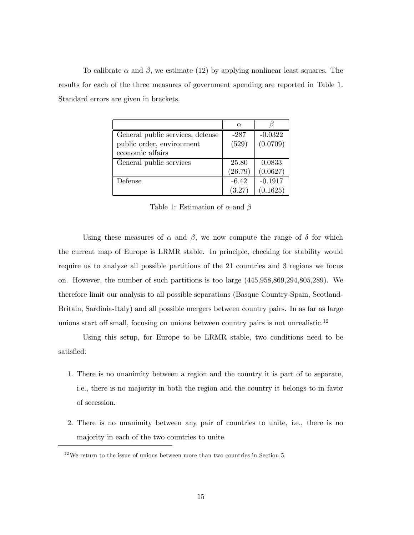To calibrate  $\alpha$  and  $\beta$ , we estimate (12) by applying nonlinear least squares. The results for each of the three measures of government spending are reported in Table 1. Standard errors are given in brackets.

|                                  | $\alpha$ |           |
|----------------------------------|----------|-----------|
| General public services, defense | $-287$   | $-0.0322$ |
| public order, environment        | (529)    | (0.0709)  |
| economic affairs                 |          |           |
| General public services          | 25.80    | 0.0833    |
|                                  | (26.79)  | (0.0627)  |
| Defense                          | $-6.42$  | $-0.1917$ |
|                                  | (3.27)   | (0.1625)  |

Table 1: Estimation of  $\alpha$  and  $\beta$ 

Using these measures of  $\alpha$  and  $\beta$ , we now compute the range of  $\delta$  for which the current map of Europe is LRMR stable. In principle, checking for stability would require us to analyze all possible partitions of the 21 countries and 3 regions we focus on. However, the number of such partitions is too large (445,958,869,294,805,289). We therefore limit our analysis to all possible separations (Basque Country-Spain, Scotland-Britain, Sardinia-Italy) and all possible mergers between country pairs. In as far as large unions start off small, focusing on unions between country pairs is not unrealistic.<sup>12</sup>

Using this setup, for Europe to be LRMR stable, two conditions need to be satisfied:

- 1. There is no unanimity between a region and the country it is part of to separate, i.e., there is no majority in both the region and the country it belongs to in favor of secession.
- 2. There is no unanimity between any pair of countries to unite, i.e., there is no majority in each of the two countries to unite.

 $^{12}\mathrm{We}$  return to the issue of unions between more than two countries in Section 5.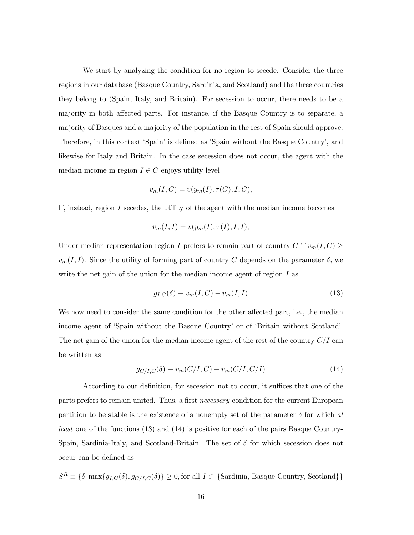We start by analyzing the condition for no region to secede. Consider the three regions in our database (Basque Country, Sardinia, and Scotland) and the three countries they belong to (Spain, Italy, and Britain). For secession to occur, there needs to be a majority in both affected parts. For instance, if the Basque Country is to separate, a majority of Basques and a majority of the population in the rest of Spain should approve. Therefore, in this context 'Spain' is defined as 'Spain without the Basque Country', and likewise for Italy and Britain. In the case secession does not occur, the agent with the median income in region  $I \in C$  enjoys utility level

$$
v_m(I, C) = v(y_m(I), \tau(C), I, C),
$$

If, instead, region I secedes, the utility of the agent with the median income becomes

$$
v_m(I,I) = v(y_m(I), \tau(I), I, I),
$$

Under median representation region I prefers to remain part of country C if  $v_m(I, C) \ge$  $v_m(I, I)$ . Since the utility of forming part of country C depends on the parameter  $\delta$ , we write the net gain of the union for the median income agent of region  $I$  as

$$
g_{I,C}(\delta) \equiv v_m(I,C) - v_m(I,I) \tag{13}
$$

We now need to consider the same condition for the other affected part, i.e., the median income agent of 'Spain without the Basque Country' or of 'Britain without Scotland'. The net gain of the union for the median income agent of the rest of the country  $C/I$  can be written as

$$
g_{C/I,C}(\delta) \equiv v_m(C/I,C) - v_m(C/I,C/I)
$$
\n(14)

According to our definition, for secession not to occur, it suffices that one of the parts prefers to remain united. Thus, a first necessary condition for the current European partition to be stable is the existence of a nonempty set of the parameter  $\delta$  for which at least one of the functions (13) and (14) is positive for each of the pairs Basque Country-Spain, Sardinia-Italy, and Scotland-Britain. The set of  $\delta$  for which secession does not occur can be defined as

 $S^R \equiv \{\delta | \max\{g_{I,C}(\delta), g_{C/I,C}(\delta)\}\geq 0, \text{for all } I \in \{\text{Sardinia, Basque Country, Scotland}\}\}\$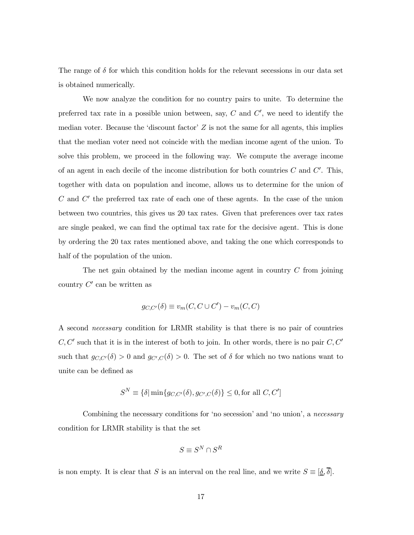The range of  $\delta$  for which this condition holds for the relevant secessions in our data set is obtained numerically.

We now analyze the condition for no country pairs to unite. To determine the preferred tax rate in a possible union between, say,  $C$  and  $C'$ , we need to identify the median voter. Because the 'discount factor'  $Z$  is not the same for all agents, this implies that the median voter need not coincide with the median income agent of the union. To solve this problem, we proceed in the following way. We compute the average income of an agent in each decile of the income distribution for both countries  $C$  and  $C'$ . This, together with data on population and income, allows us to determine for the union of C and  $C'$  the preferred tax rate of each one of these agents. In the case of the union between two countries, this gives us 20 tax rates. Given that preferences over tax rates are single peaked, we can find the optimal tax rate for the decisive agent. This is done by ordering the 20 tax rates mentioned above, and taking the one which corresponds to half of the population of the union.

The net gain obtained by the median income agent in country  $C$  from joining country  $C'$  can be written as

$$
g_{C,C'}(\delta) \equiv v_m(C, C \cup C') - v_m(C, C)
$$

A second necessary condition for LRMR stability is that there is no pair of countries  $C, C'$  such that it is in the interest of both to join. In other words, there is no pair  $C, C'$ such that  $g_{C,C'}(\delta) > 0$  and  $g_{C',C}(\delta) > 0$ . The set of  $\delta$  for which no two nations want to unite can be defined as

$$
S^{N} \equiv \{ \delta \mid \min \{ g_{C,C'}(\delta), g_{C',C}(\delta) \} \le 0, \text{for all } C, C' \}
$$

Combining the necessary conditions for 'no secession' and 'no union', a necessary condition for LRMR stability is that the set

$$
S \equiv S^N \cap S^R
$$

is non empty. It is clear that S is an interval on the real line, and we write  $S \equiv [\underline{\delta}, \overline{\delta}]$ .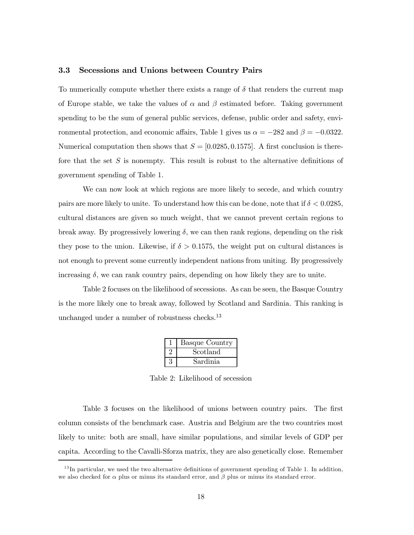#### 3.3 Secessions and Unions between Country Pairs

To numerically compute whether there exists a range of  $\delta$  that renders the current map of Europe stable, we take the values of  $\alpha$  and  $\beta$  estimated before. Taking government spending to be the sum of general public services, defense, public order and safety, environmental protection, and economic affairs, Table 1 gives us  $\alpha = -282$  and  $\beta = -0.0322$ . Numerical computation then shows that  $S = [0.0285, 0.1575]$ . A first conclusion is therefore that the set S is nonempty. This result is robust to the alternative definitions of government spending of Table 1.

We can now look at which regions are more likely to secede, and which country pairs are more likely to unite. To understand how this can be done, note that if  $\delta < 0.0285$ , cultural distances are given so much weight, that we cannot prevent certain regions to break away. By progressively lowering  $\delta$ , we can then rank regions, depending on the risk they pose to the union. Likewise, if  $\delta > 0.1575$ , the weight put on cultural distances is not enough to prevent some currently independent nations from uniting. By progressively increasing  $\delta$ , we can rank country pairs, depending on how likely they are to unite.

Table 2 focuses on the likelihood of secessions. As can be seen, the Basque Country is the more likely one to break away, followed by Scotland and Sardinia. This ranking is unchanged under a number of robustness checks.<sup>13</sup>

| <b>Basque Country</b> |
|-----------------------|
| Scotland              |
| Sardinia              |

Table 2: Likelihood of secession

Table 3 focuses on the likelihood of unions between country pairs. The first column consists of the benchmark case. Austria and Belgium are the two countries most likely to unite: both are small, have similar populations, and similar levels of GDP per capita. According to the Cavalli-Sforza matrix, they are also genetically close. Remember

 $13$ In particular, we used the two alternative definitions of government spending of Table 1. In addition, we also checked for  $\alpha$  plus or minus its standard error, and  $\beta$  plus or minus its standard error.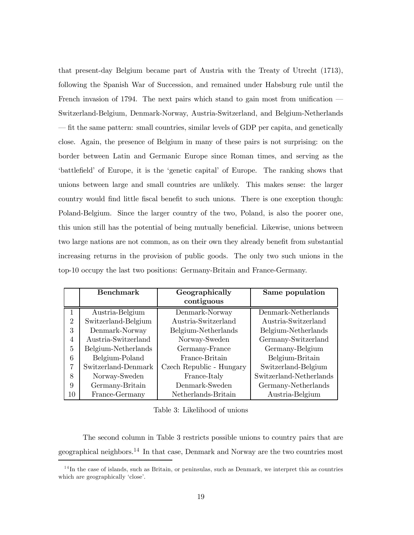that present-day Belgium became part of Austria with the Treaty of Utrecht (1713), following the Spanish War of Succession, and remained under Habsburg rule until the French invasion of 1794. The next pairs which stand to gain most from unification  $\overline{\phantom{a}}$ Switzerland-Belgium, Denmark-Norway, Austria-Switzerland, and Belgium-Netherlands ñ fit the same pattern: small countries, similar levels of GDP per capita, and genetically close. Again, the presence of Belgium in many of these pairs is not surprising: on the border between Latin and Germanic Europe since Roman times, and serving as the ëbattlefieldí of Europe, it is the ëgenetic capitalí of Europe. The ranking shows that unions between large and small countries are unlikely. This makes sense: the larger country would find little fiscal benefit to such unions. There is one exception though: Poland-Belgium. Since the larger country of the two, Poland, is also the poorer one, this union still has the potential of being mutually beneficial. Likewise, unions between two large nations are not common, as on their own they already benefit from substantial increasing returns in the provision of public goods. The only two such unions in the top-10 occupy the last two positions: Germany-Britain and France-Germany.

|                | <b>Benchmark</b>    | Geographically           | Same population         |  |  |  |  |
|----------------|---------------------|--------------------------|-------------------------|--|--|--|--|
|                |                     | contiguous               |                         |  |  |  |  |
|                | Austria-Belgium     | Denmark-Norway           | Denmark-Netherlands     |  |  |  |  |
| $\overline{2}$ | Switzerland-Belgium | Austria-Switzerland      | Austria-Switzerland     |  |  |  |  |
| 3              | Denmark-Norway      | Belgium-Netherlands      | Belgium-Netherlands     |  |  |  |  |
| 4              | Austria-Switzerland | Norway-Sweden            | Germany-Switzerland     |  |  |  |  |
| 5              | Belgium-Netherlands | Germany-France           | Germany-Belgium         |  |  |  |  |
| 6              | Belgium-Poland      | France-Britain           | Belgium-Britain         |  |  |  |  |
| 7              | Switzerland-Denmark | Czech Republic - Hungary | Switzerland-Belgium     |  |  |  |  |
| 8              | Norway-Sweden       | France-Italy             | Switzerland-Netherlands |  |  |  |  |
| 9              | Germany-Britain     | Denmark-Sweden           | Germany-Netherlands     |  |  |  |  |
| 10             | France-Germany      | Netherlands-Britain      | Austria-Belgium         |  |  |  |  |

Table 3: Likelihood of unions

The second column in Table 3 restricts possible unions to country pairs that are geographical neighbors.<sup>14</sup> In that case, Denmark and Norway are the two countries most

 $14$ In the case of islands, such as Britain, or peninsulas, such as Denmark, we interpret this as countries which are geographically 'close'.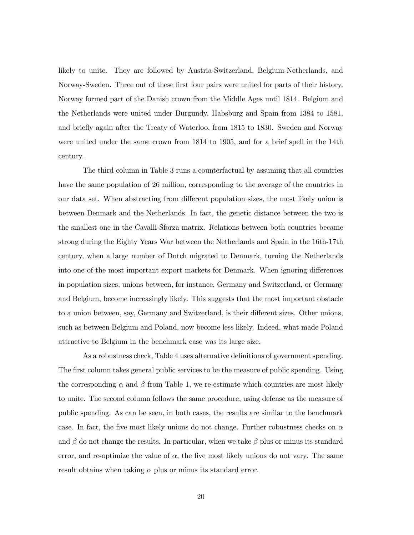likely to unite. They are followed by Austria-Switzerland, Belgium-Netherlands, and Norway-Sweden. Three out of these first four pairs were united for parts of their history. Norway formed part of the Danish crown from the Middle Ages until 1814. Belgium and the Netherlands were united under Burgundy, Habsburg and Spain from 1384 to 1581, and briefly again after the Treaty of Waterloo, from 1815 to 1830. Sweden and Norway were united under the same crown from 1814 to 1905, and for a brief spell in the 14th century.

The third column in Table 3 runs a counterfactual by assuming that all countries have the same population of 26 million, corresponding to the average of the countries in our data set. When abstracting from different population sizes, the most likely union is between Denmark and the Netherlands. In fact, the genetic distance between the two is the smallest one in the Cavalli-Sforza matrix. Relations between both countries became strong during the Eighty Years War between the Netherlands and Spain in the 16th-17th century, when a large number of Dutch migrated to Denmark, turning the Netherlands into one of the most important export markets for Denmark. When ignoring differences in population sizes, unions between, for instance, Germany and Switzerland, or Germany and Belgium, become increasingly likely. This suggests that the most important obstacle to a union between, say, Germany and Switzerland, is their different sizes. Other unions, such as between Belgium and Poland, now become less likely. Indeed, what made Poland attractive to Belgium in the benchmark case was its large size.

As a robustness check, Table 4 uses alternative definitions of government spending. The first column takes general public services to be the measure of public spending. Using the corresponding  $\alpha$  and  $\beta$  from Table 1, we re-estimate which countries are most likely to unite. The second column follows the same procedure, using defense as the measure of public spending. As can be seen, in both cases, the results are similar to the benchmark case. In fact, the five most likely unions do not change. Further robustness checks on  $\alpha$ and  $\beta$  do not change the results. In particular, when we take  $\beta$  plus or minus its standard error, and re-optimize the value of  $\alpha$ , the five most likely unions do not vary. The same result obtains when taking  $\alpha$  plus or minus its standard error.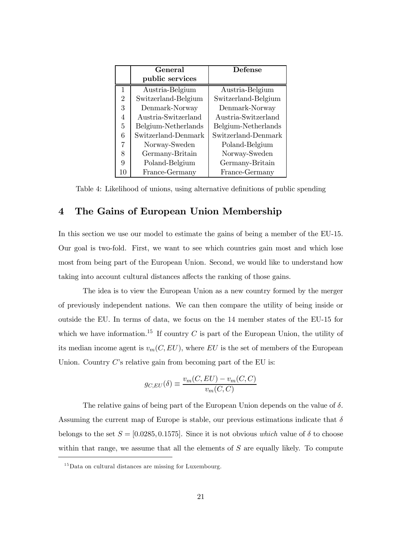|                | General             | Defense             |
|----------------|---------------------|---------------------|
|                | public services     |                     |
| 1              | Austria-Belgium     | Austria-Belgium     |
| $\overline{2}$ | Switzerland-Belgium | Switzerland-Belgium |
| 3              | Denmark-Norway      | Denmark-Norway      |
| 4              | Austria-Switzerland | Austria-Switzerland |
| 5              | Belgium-Netherlands | Belgium-Netherlands |
| 6              | Switzerland-Denmark | Switzerland-Denmark |
| 7              | Norway-Sweden       | Poland-Belgium      |
| 8              | Germany-Britain     | Norway-Sweden       |
| Q              | Poland-Belgium      | Germany-Britain     |
| 10             | France-Germany      | France-Germany      |

Table 4: Likelihood of unions, using alternative definitions of public spending

# 4 The Gains of European Union Membership

In this section we use our model to estimate the gains of being a member of the EU-15. Our goal is two-fold. First, we want to see which countries gain most and which lose most from being part of the European Union. Second, we would like to understand how taking into account cultural distances affects the ranking of those gains.

The idea is to view the European Union as a new country formed by the merger of previously independent nations. We can then compare the utility of being inside or outside the EU. In terms of data, we focus on the 14 member states of the EU-15 for which we have information.<sup>15</sup> If country  $C$  is part of the European Union, the utility of its median income agent is  $v_m(C, EU)$ , where EU is the set of members of the European Union. Country  $C$ 's relative gain from becoming part of the EU is:

$$
g_{C,EU}(\delta) \equiv \frac{v_m(C, EU) - v_m(C, C)}{v_m(C, C)}
$$

The relative gains of being part of the European Union depends on the value of  $\delta$ . Assuming the current map of Europe is stable, our previous estimations indicate that  $\delta$ belongs to the set  $S = [0.0285, 0.1575]$ . Since it is not obvious which value of  $\delta$  to choose within that range, we assume that all the elements of  $S$  are equally likely. To compute

<sup>1</sup>5Data on cultural distances are missing for Luxembourg.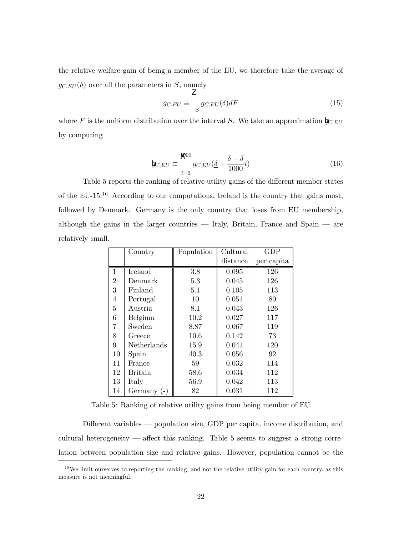the relative welfare gain of being a member of the EU, we therefore take the average of  $g_{C,EU}(\delta)$  over all the parameters in S, namely

$$
g_{C,EU} \equiv \int_{S} g_{C,EU}(\delta) dF \tag{15}
$$

where F is the uniform distribution over the interval S. We take an approximation  $\mathbf{b}_{C,EU}$ by computing

$$
\mathbf{b}_{C,EU} \equiv \frac{\mathbf{W}^{00}}{g_{C,EU}(\underline{\delta} + \frac{\overline{\delta} - \underline{\delta}}{1000}i)}\tag{16}
$$

Table 5 reports the ranking of relative utility gains of the different member states of the EU-15.1<sup>6</sup> According to our computations, Ireland is the country that gains most, followed by Denmark. Germany is the only country that loses from EU membership, although the gains in the larger countries  $\overline{\phantom{a}}$  Italy, Britain, France and Spain  $\overline{\phantom{a}}$  are relatively small.

|                | Country        | Population | Cultural | <b>GDP</b> |
|----------------|----------------|------------|----------|------------|
|                |                |            | distance | per capita |
| 1              | Ireland        | 3.8        | 0.095    | 126        |
| $\overline{2}$ | Denmark        | 5.3        | 0.045    | 126        |
| 3              | Finland        | 5.1        | 0.105    | 113        |
| 4              | Portugal       | 10         | 0.051    | 80         |
| 5              | Austria        | 8.1        | 0.043    | 126        |
| 6              | Belgium        | 10.2       | 0.027    | 117        |
| 7              | Sweden         | 8.87       | 0.067    | 119        |
| 8              | Greece         | 10.6       | 0.142    | 73         |
| 9              | Netherlands    | 15.9       | 0.041    | 120        |
| 10             | Spain          | 40.3       | 0.056    | 92         |
| 11             | France         | 59         | 0.032    | 114        |
| 12             | <b>Britain</b> | 58.6       | 0.034    | 112        |
| 13             | Italy          | 56.9       | 0.042    | 113        |
| 14             | Germany $(-)$  | 82         | 0.031    | 112        |

Table 5: Ranking of relative utility gains from being member of EU

Different variables — population size, GDP per capita, income distribution, and cultural heterogeneity  $\overline{\phantom{a}}$  affect this ranking. Table 5 seems to suggest a strong correlation between population size and relative gains. However, population cannot be the

 $16$ We limit ourselves to reporting the ranking, and not the relative utility gain for each country, as this measure is not meaningful.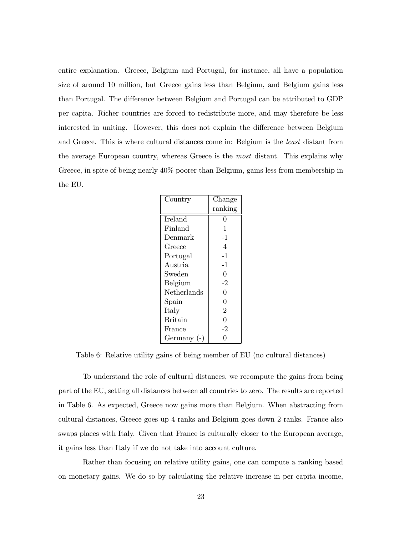entire explanation. Greece, Belgium and Portugal, for instance, all have a population size of around 10 million, but Greece gains less than Belgium, and Belgium gains less than Portugal. The difference between Belgium and Portugal can be attributed to GDP per capita. Richer countries are forced to redistribute more, and may therefore be less interested in uniting. However, this does not explain the difference between Belgium and Greece. This is where cultural distances come in: Belgium is the least distant from the average European country, whereas Greece is the most distant. This explains why Greece, in spite of being nearly 40% poorer than Belgium, gains less from membership in the EU.

| Country        | Change         |
|----------------|----------------|
|                | ranking        |
| Ireland        | 0              |
| Finland        | 1              |
| Denmark        | $-1$           |
| Greece         | 4              |
| Portugal       | $-1$           |
| Austria        | $-1$           |
| Sweden         | 0              |
| Belgium        | -2             |
| Netherlands    | 0              |
| $S$ pain       | $\overline{0}$ |
| Italy          | 2              |
| <b>Britain</b> | $\Omega$       |
| France         | -2             |
| Germany (-)    |                |

Table 6: Relative utility gains of being member of EU (no cultural distances)

To understand the role of cultural distances, we recompute the gains from being part of the EU, setting all distances between all countries to zero. The results are reported in Table 6. As expected, Greece now gains more than Belgium. When abstracting from cultural distances, Greece goes up 4 ranks and Belgium goes down 2 ranks. France also swaps places with Italy. Given that France is culturally closer to the European average, it gains less than Italy if we do not take into account culture.

Rather than focusing on relative utility gains, one can compute a ranking based on monetary gains. We do so by calculating the relative increase in per capita income,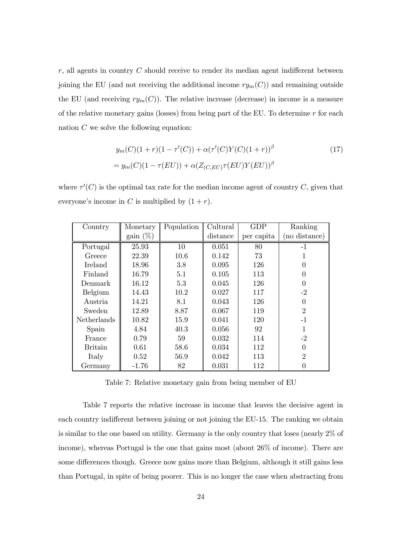$r$ , all agents in country  $C$  should receive to render its median agent indifferent between joining the EU (and not receiving the additional income  $ry_m(C)$ ) and remaining outside the EU (and receiving  $ry_m(C)$ ). The relative increase (decrease) in income is a measure of the relative monetary gains (losses) from being part of the EU. To determine  $r$  for each nation  $C$  we solve the following equation:

$$
y_m(C)(1+r)(1-\tau'(C)) + \alpha(\tau'(C)Y(C)(1+r))^{\beta}
$$
  
=  $y_m(C)(1-\tau(EU)) + \alpha(Z_{(C,EU)}\tau(EU)Y(EU))^{\beta}$  (17)

where  $\tau'(C)$  is the optimal tax rate for the median income agent of country C, given that everyone's income in C is multiplied by  $(1 + r)$ .

| Country            | Monetary    | Population | Cultural | <b>GDP</b> | Ranking        |
|--------------------|-------------|------------|----------|------------|----------------|
|                    | gain $(\%)$ |            | distance | per capita | no distance)   |
| Portugal           | 25.93       | 10         | 0.051    | 80         | $-1$           |
| Greece             | 22.39       | 10.6       | 0.142    | 73         | 1              |
| <b>Ireland</b>     | 18.96       | 3.8        | 0.095    | 126        |                |
| Finland            | 16.79       | 5.1        | 0.105    | 113        |                |
| Denmark            | 16.12       | 5.3        | 0.045    | 126        | 0              |
| Belgium            | 14.43       | 10.2       | 0.027    | 117        | $-2$           |
| Austria            | 14.21       | 8.1        | 0.043    | 126        | 0              |
| Sweden             | 12.89       | 8.87       | 0.067    | 119        | $\mathfrak{D}$ |
| <b>Netherlands</b> | 10.82       | 15.9       | 0.041    | 120        | $-1$           |
| Spain              | 4.84        | 40.3       | 0.056    | 92         | 1              |
| France             | 0.79        | 59         | 0.032    | 114        | $-2$           |
| <b>Britain</b>     | 0.61        | 58.6       | 0.034    | 112        | $\theta$       |
| Italy              | 0.52        | 56.9       | 0.042    | 113        | $\mathfrak{D}$ |
| Germany            | $-1.76$     | 82         | 0.031    | 112        |                |

Table 7: Relative monetary gain from being member of EU

Table 7 reports the relative increase in income that leaves the decisive agent in each country indifferent between joining or not joining the EU-15. The ranking we obtain is similar to the one based on utility. Germany is the only country that loses (nearly 2% of income), whereas Portugal is the one that gains most (about 26% of income). There are some differences though. Greece now gains more than Belgium, although it still gains less than Portugal, in spite of being poorer. This is no longer the case when abstracting from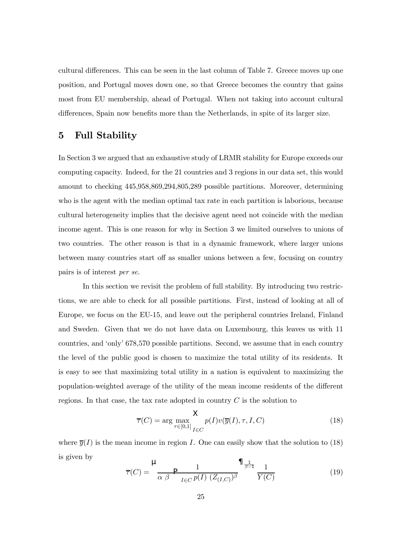cultural differences. This can be seen in the last column of Table 7. Greece moves up one position, and Portugal moves down one, so that Greece becomes the country that gains most from EU membership, ahead of Portugal. When not taking into account cultural differences, Spain now benefits more than the Netherlands, in spite of its larger size.

### 5 Full Stability

In Section 3 we argued that an exhaustive study of LRMR stability for Europe exceeds our computing capacity. Indeed, for the 21 countries and 3 regions in our data set, this would amount to checking 445,958,869,294,805,289 possible partitions. Moreover, determining who is the agent with the median optimal tax rate in each partition is laborious, because cultural heterogeneity implies that the decisive agent need not coincide with the median income agent. This is one reason for why in Section 3 we limited ourselves to unions of two countries. The other reason is that in a dynamic framework, where larger unions between many countries start off as smaller unions between a few, focusing on country pairs is of interest per se.

In this section we revisit the problem of full stability. By introducing two restrictions, we are able to check for all possible partitions. First, instead of looking at all of Europe, we focus on the EU-15, and leave out the peripheral countries Ireland, Finland and Sweden. Given that we do not have data on Luxembourg, this leaves us with 11 countries, and ëonlyí 678,570 possible partitions. Second, we assume that in each country the level of the public good is chosen to maximize the total utility of its residents. It is easy to see that maximizing total utility in a nation is equivalent to maximizing the population-weighted average of the utility of the mean income residents of the different regions. In that case, the tax rate adopted in country  $C$  is the solution to

$$
\overline{\tau}(C) = \arg \max_{\tau \in [0,1]} \sum_{I \in C} p(I)v(\overline{y}(I), \tau, I, C)
$$
\n(18)

where  $\overline{y}(I)$  is the mean income in region I. One can easily show that the solution to (18) is given by

$$
\overline{\tau}(C) = \frac{\mu}{\alpha \beta} \frac{1}{P_{I \in C} p(I) (Z_{(I,C)})^{\beta}} \frac{\prod_{\beta=1}^{1} \frac{1}{Y(C)}}{Y(C)}
$$
(19)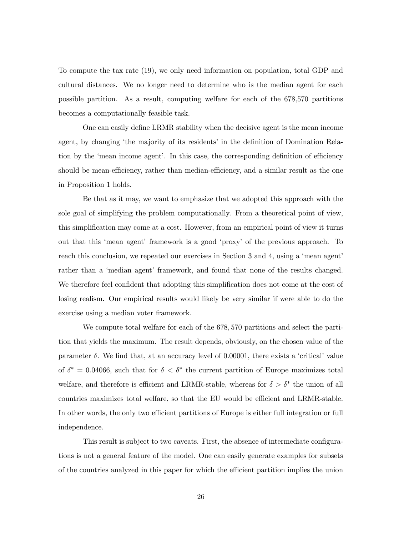To compute the tax rate (19), we only need information on population, total GDP and cultural distances. We no longer need to determine who is the median agent for each possible partition. As a result, computing welfare for each of the 678,570 partitions becomes a computationally feasible task.

One can easily define LRMR stability when the decisive agent is the mean income agent, by changing 'the majority of its residents' in the definition of Domination Relation by the 'mean income agent'. In this case, the corresponding definition of efficiency should be mean-efficiency, rather than median-efficiency, and a similar result as the one in Proposition 1 holds.

Be that as it may, we want to emphasize that we adopted this approach with the sole goal of simplifying the problem computationally. From a theoretical point of view, this simplification may come at a cost. However, from an empirical point of view it turns out that this ëmean agentí framework is a good ëproxyí of the previous approach. To reach this conclusion, we repeated our exercises in Section 3 and 4, using a 'mean agent' rather than a 'median agent' framework, and found that none of the results changed. We therefore feel confident that adopting this simplification does not come at the cost of losing realism. Our empirical results would likely be very similar if were able to do the exercise using a median voter framework.

We compute total welfare for each of the 678, 570 partitions and select the partition that yields the maximum. The result depends, obviously, on the chosen value of the parameter  $\delta$ . We find that, at an accuracy level of 0.00001, there exists a 'critical' value of  $\delta^* = 0.04066$ , such that for  $\delta < \delta^*$  the current partition of Europe maximizes total welfare, and therefore is efficient and LRMR-stable, whereas for  $\delta > \delta^*$  the union of all countries maximizes total welfare, so that the EU would be efficient and LRMR-stable. In other words, the only two efficient partitions of Europe is either full integration or full independence.

This result is subject to two caveats. First, the absence of intermediate configurations is not a general feature of the model. One can easily generate examples for subsets of the countries analyzed in this paper for which the efficient partition implies the union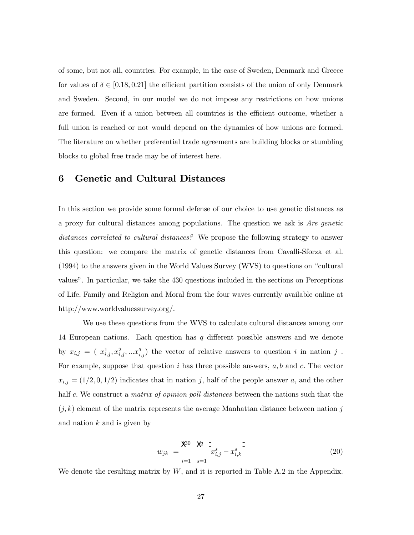of some, but not all, countries. For example, in the case of Sweden, Denmark and Greece for values of  $\delta \in [0.18, 0.21]$  the efficient partition consists of the union of only Denmark and Sweden. Second, in our model we do not impose any restrictions on how unions are formed. Even if a union between all countries is the efficient outcome, whether a full union is reached or not would depend on the dynamics of how unions are formed. The literature on whether preferential trade agreements are building blocks or stumbling blocks to global free trade may be of interest here.

# 6 Genetic and Cultural Distances

In this section we provide some formal defense of our choice to use genetic distances as a proxy for cultural distances among populations. The question we ask is Are genetic distances correlated to cultural distances? We propose the following strategy to answer this question: we compare the matrix of genetic distances from Cavalli-Sforza et al.  $(1994)$  to the answers given in the World Values Survey (WVS) to questions on "cultural valuesî. In particular, we take the 430 questions included in the sections on Perceptions of Life, Family and Religion and Moral from the four waves currently available online at http://www.worldvaluessurvey.org/.

We use these questions from the WVS to calculate cultural distances among our 14 European nations. Each question has  $q$  different possible answers and we denote by  $x_{i,j} = (x_{i,j}^1, x_{i,j}^2, ... x_{i,j}^q)$  the vector of relative answers to question i in nation j. For example, suppose that question  $i$  has three possible answers,  $a, b$  and  $c$ . The vector  $x_{i,j} = (1/2, 0, 1/2)$  indicates that in nation j, half of the people answer a, and the other half c. We construct a *matrix of opinion poll distances* between the nations such that the  $(j, k)$  element of the matrix represents the average Manhattan distance between nation j and nation  $k$  and is given by

$$
w_{jk} = \frac{\mathbb{X}^{80} \times \mathbb{X}^{-1}}{x_{i,j}^{s} - x_{i,k}^{s}} \tag{20}
$$

We denote the resulting matrix by  $W$ , and it is reported in Table A.2 in the Appendix.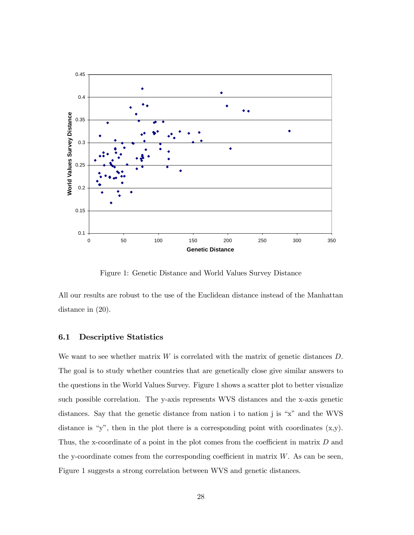

Figure 1: Genetic Distance and World Values Survey Distance

All our results are robust to the use of the Euclidean distance instead of the Manhattan distance in (20).

#### 6.1 Descriptive Statistics

We want to see whether matrix  $W$  is correlated with the matrix of genetic distances  $D$ . The goal is to study whether countries that are genetically close give similar answers to the questions in the World Values Survey. Figure 1 shows a scatter plot to better visualize such possible correlation. The y-axis represents WVS distances and the x-axis genetic distances. Say that the genetic distance from nation i to nation j is " $x$ " and the WVS distance is "y", then in the plot there is a corresponding point with coordinates  $(x,y)$ . Thus, the x-coordinate of a point in the plot comes from the coefficient in matrix D and the y-coordinate comes from the corresponding coefficient in matrix  $W$ . As can be seen, Figure 1 suggests a strong correlation between WVS and genetic distances.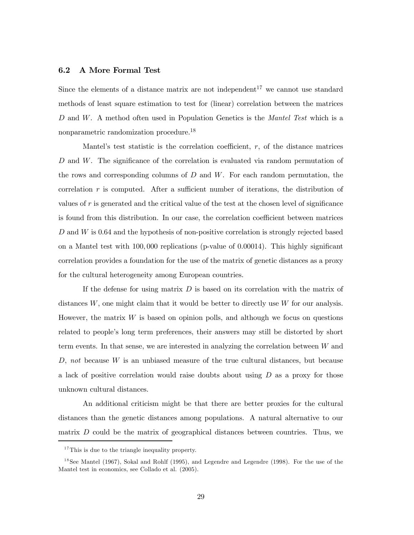#### 6.2 A More Formal Test

Since the elements of a distance matrix are not independent<sup>17</sup> we cannot use standard methods of least square estimation to test for (linear) correlation between the matrices D and W. A method often used in Population Genetics is the Mantel Test which is a nonparametric randomization procedure.1<sup>8</sup>

Mantel's test statistic is the correlation coefficient,  $r$ , of the distance matrices D and W. The significance of the correlation is evaluated via random permutation of the rows and corresponding columns of  $D$  and  $W$ . For each random permutation, the correlation  $r$  is computed. After a sufficient number of iterations, the distribution of values of r is generated and the critical value of the test at the chosen level of significance is found from this distribution. In our case, the correlation coefficient between matrices D and W is 0.64 and the hypothesis of non-positive correlation is strongly rejected based on a Mantel test with 100, 000 replications (p-value of 0.00014). This highly significant correlation provides a foundation for the use of the matrix of genetic distances as a proxy for the cultural heterogeneity among European countries.

If the defense for using matrix  $D$  is based on its correlation with the matrix of distances  $W$ , one might claim that it would be better to directly use  $W$  for our analysis. However, the matrix  $W$  is based on opinion polls, and although we focus on questions related to people's long term preferences, their answers may still be distorted by short term events. In that sense, we are interested in analyzing the correlation between  $W$  and  $D$ , not because  $W$  is an unbiased measure of the true cultural distances, but because a lack of positive correlation would raise doubts about using  $D$  as a proxy for those unknown cultural distances.

An additional criticism might be that there are better proxies for the cultural distances than the genetic distances among populations. A natural alternative to our matrix  $D$  could be the matrix of geographical distances between countries. Thus, we

<sup>&</sup>lt;sup>17</sup>This is due to the triangle inequality property.

<sup>&</sup>lt;sup>18</sup>See Mantel (1967), Sokal and Rohlf (1995), and Legendre and Legendre (1998). For the use of the Mantel test in economics, see Collado et al. (2005).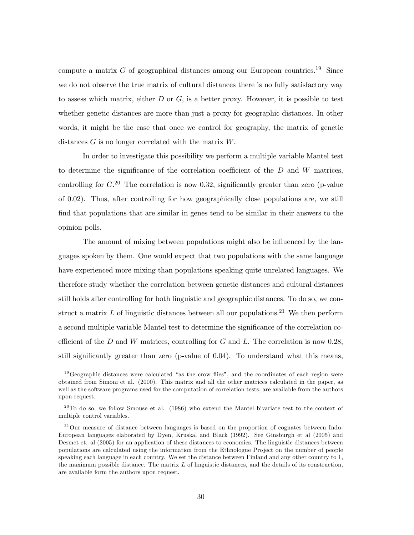compute a matrix G of geographical distances among our European countries.<sup>19</sup> Since we do not observe the true matrix of cultural distances there is no fully satisfactory way to assess which matrix, either  $D$  or  $G$ , is a better proxy. However, it is possible to test whether genetic distances are more than just a proxy for geographic distances. In other words, it might be the case that once we control for geography, the matrix of genetic distances G is no longer correlated with the matrix W.

In order to investigate this possibility we perform a multiple variable Mantel test to determine the significance of the correlation coefficient of the  $D$  and  $W$  matrices, controlling for  $G^{(20)}$ . The correlation is now 0.32, significantly greater than zero (p-value of 0.02). Thus, after controlling for how geographically close populations are, we still find that populations that are similar in genes tend to be similar in their answers to the opinion polls.

The amount of mixing between populations might also be influenced by the languages spoken by them. One would expect that two populations with the same language have experienced more mixing than populations speaking quite unrelated languages. We therefore study whether the correlation between genetic distances and cultural distances still holds after controlling for both linguistic and geographic distances. To do so, we construct a matrix  $L$  of linguistic distances between all our populations.<sup>21</sup> We then perform a second multiple variable Mantel test to determine the significance of the correlation coefficient of the  $D$  and  $W$  matrices, controlling for  $G$  and  $L$ . The correlation is now 0.28, still significantly greater than zero (p-value of 0.04). To understand what this means,

 $19\,\text{Geographic distances}$  were calculated "as the crow flies", and the coordinates of each region were obtained from Simoni et al. (2000). This matrix and all the other matrices calculated in the paper, as well as the software programs used for the computation of correlation tests, are available from the authors upon request.

 $20$ To do so, we follow Smouse et al. (1986) who extend the Mantel bivariate test to the context of multiple control variables.

<sup>&</sup>lt;sup>21</sup>Our measure of distance between languages is based on the proportion of cognates between Indo-European languages elaborated by Dyen, Kruskal and Black (1992). See Ginsburgh et al (2005) and Desmet et. al (2005) for an application of these distances to economics. The linguistic distances between populations are calculated using the information from the Ethnologue Project on the number of people speaking each language in each country. We set the distance between Finland and any other country to 1, the maximum possible distance. The matrix  $L$  of linguistic distances, and the details of its construction, are available form the authors upon request.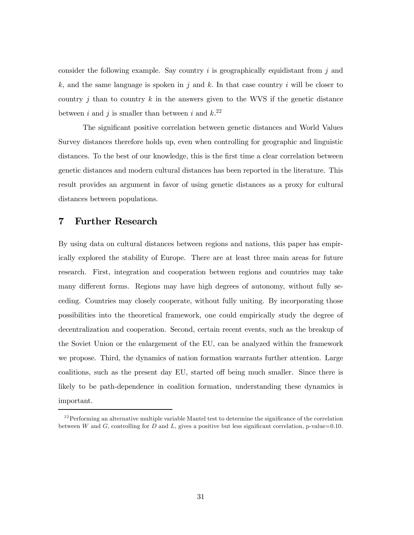consider the following example. Say country  $i$  is geographically equidistant from  $j$  and k, and the same language is spoken in j and k. In that case country i will be closer to country j than to country k in the answers given to the WVS if the genetic distance between i and j is smaller than between i and  $k^{22}$ 

The significant positive correlation between genetic distances and World Values Survey distances therefore holds up, even when controlling for geographic and linguistic distances. To the best of our knowledge, this is the first time a clear correlation between genetic distances and modern cultural distances has been reported in the literature. This result provides an argument in favor of using genetic distances as a proxy for cultural distances between populations.

## 7 Further Research

By using data on cultural distances between regions and nations, this paper has empirically explored the stability of Europe. There are at least three main areas for future research. First, integration and cooperation between regions and countries may take many different forms. Regions may have high degrees of autonomy, without fully seceding. Countries may closely cooperate, without fully uniting. By incorporating those possibilities into the theoretical framework, one could empirically study the degree of decentralization and cooperation. Second, certain recent events, such as the breakup of the Soviet Union or the enlargement of the EU, can be analyzed within the framework we propose. Third, the dynamics of nation formation warrants further attention. Large coalitions, such as the present day EU, started off being much smaller. Since there is likely to be path-dependence in coalition formation, understanding these dynamics is important.

 $2<sup>22</sup>$  Performing an alternative multiple variable Mantel test to determine the significance of the correlation between W and G, controlling for D and L, gives a positive but less significant correlation, p-value=0.10.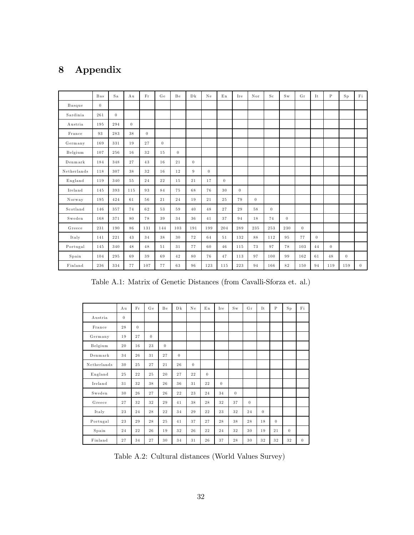# 8 Appendix

|             | <b>Bas</b> | Sa             | Au       | Fr       | Ge       | Be             | Dk       | Ne             | $E_{n}$        | Ire            | Nor            | $S_{\rm c}$ | S <sub>w</sub> | Gr       | It       | $\mathsf{P}$ | $S_{p}$  | Fi             |
|-------------|------------|----------------|----------|----------|----------|----------------|----------|----------------|----------------|----------------|----------------|-------------|----------------|----------|----------|--------------|----------|----------------|
| Basque      | $\theta$   |                |          |          |          |                |          |                |                |                |                |             |                |          |          |              |          |                |
| Sardinia    | 261        | $\overline{0}$ |          |          |          |                |          |                |                |                |                |             |                |          |          |              |          |                |
| Austria     | 195        | 294            | $\Omega$ |          |          |                |          |                |                |                |                |             |                |          |          |              |          |                |
| France      | 93         | 283            | $3\,8$   | $\theta$ |          |                |          |                |                |                |                |             |                |          |          |              |          |                |
| Germany     | 169        | 331            | 19       | 27       | $\Omega$ |                |          |                |                |                |                |             |                |          |          |              |          |                |
| Belgium     | 107        | 256            | 16       | $3\,2$   | 15       | $\overline{0}$ |          |                |                |                |                |             |                |          |          |              |          |                |
| Dennark     | 184        | 348            | 27       | 43       | 16       | 21             | $\theta$ |                |                |                |                |             |                |          |          |              |          |                |
| Netherlands | 118        | 307            | 38       | 32       | 16       | 12             | 9        | $\overline{0}$ |                |                |                |             |                |          |          |              |          |                |
| England     | 119        | 340            | 55       | 24       | 22       | 15             | 21       | 17             | $\overline{0}$ |                |                |             |                |          |          |              |          |                |
| Ireland     | 145        | 393            | 115      | 93       | 84       | 75             | 68       | 76             | 30             | $\overline{0}$ |                |             |                |          |          |              |          |                |
| Norway      | 195        | 424            | 61       | 56       | 21       | 24             | 19       | 21             | 25             | 79             | $\overline{0}$ |             |                |          |          |              |          |                |
| Scotland    | 146        | 357            | 74       | 62       | 53       | 59             | 40       | 48             | 27             | 29             | 58             | $\theta$    |                |          |          |              |          |                |
| Sweden      | 168        | 371            | 80       | 78       | 39       | 34             | 36       | 41             | 37             | 94             | 18             | 74          | $\overline{0}$ |          |          |              |          |                |
| Greece      | 231        | 190            | 86       | 131      | 144      | 103            | 191      | 199            | 204            | 289            | 235            | 253         | 230            | $\Omega$ |          |              |          |                |
| Italy       | 141        | 221            | 43       | 34       | 38       | 30             | 72       | 64             | $5\,1$         | 132            | 88             | 112         | 95             | 77       | $\Omega$ |              |          |                |
| Portugal    | 145        | 340            | 48       | 48       | 51       | 31             | 77       | 60             | 46             | 115            | 73             | 97          | 78             | 103      | 44       | $\Omega$     |          |                |
| Spain       | 104        | 295            | 69       | 39       | 69       | 42             | 80       | 76             | 47             | 113            | 97             | 100         | 99             | 162      | 61       | 48           | $\theta$ |                |
| Finland     | 236        | 334            | 77       | 107      | 77       | 63             | 96       | 123            | 115            | 223            | 94             | 166         | 82             | 150      | 94       | 119          | 159      | $\overline{0}$ |

Table A.1: Matrix of Genetic Distances (from Cavalli-Sforza et. al.)

|             | Au       | Fr          | Ge             | Be       | Dk       | Ne             | En             | Ire      | $S_{W}$  | Gr       | It             | $\mathbf P$ | $S_{p}$  | Fi       |
|-------------|----------|-------------|----------------|----------|----------|----------------|----------------|----------|----------|----------|----------------|-------------|----------|----------|
| Austria     | $\theta$ |             |                |          |          |                |                |          |          |          |                |             |          |          |
| France      | 28       | $\theta$    |                |          |          |                |                |          |          |          |                |             |          |          |
| Germany     | 19       | 27          | $\overline{0}$ |          |          |                |                |          |          |          |                |             |          |          |
| Belgium     | 20       | $1\,6$      | 23             | $\Omega$ |          |                |                |          |          |          |                |             |          |          |
| Dennark     | 34       | 26          | 31             | 27       | $\theta$ |                |                |          |          |          |                |             |          |          |
| Netherlands | 30       | $2\sqrt{5}$ | 27             | 21       | 26       | $\overline{0}$ |                |          |          |          |                |             |          |          |
| England     | 25       | $2\sqrt{2}$ | 25             | 20       | 27       | 22             | $\overline{0}$ |          |          |          |                |             |          |          |
| Ireland     | 31       | 32          | 38             | 26       | 36       | 31             | 22             | $\theta$ |          |          |                |             |          |          |
| Sweden      | 30       | 26          | 27             | 26       | 22       | 23             | 24             | 34       | $\theta$ |          |                |             |          |          |
| Greece      | 27       | 32          | 32             | 29       | 41       | 38             | 28             | 32       | 37       | $\Omega$ |                |             |          |          |
| Italy       | 23       | 24          | $\sqrt{28}$    | 22       | 34       | 29             | 22             | 23       | 32       | 24       | $\overline{0}$ |             |          |          |
| Portugal    | 23       | 29          | 28             | 25       | 41       | 37             | 27             | 28       | 38       | 28       | 18             | $\theta$    |          |          |
| Spain       | 24       | $^{22}$     | 26             | 19       | 32       | 26             | 22             | 24       | 32       | 30       | 19             | 21          | $\theta$ |          |
| Finland     | 27       | 34          | 27             | 30       | 34       | 31             | 26             | 37       | 28       | 30       | 32             | 32          | 32       | $\theta$ |

Table A.2: Cultural distances (World Values Survey)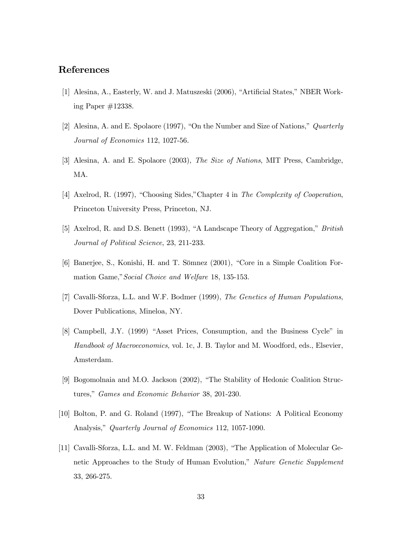## References

- [1] Alesina, A., Easterly, W. and J. Matuszeski (2006), "Artificial States," NBER Working Paper #12338.
- [2] Alesina, A. and E. Spolaore (1997), "On the Number and Size of Nations,"  $Quarterly$ Journal of Economics 112, 1027-56.
- [3] Alesina, A. and E. Spolaore (2003), The Size of Nations, MIT Press, Cambridge, MA.
- [4] Axelrod, R. (1997), "Choosing Sides," Chapter 4 in The Complexity of Cooperation, Princeton University Press, Princeton, NJ.
- [5] Axelrod, R. and D.S. Benett (1993), "A Landscape Theory of Aggregation," British Journal of Political Science, 23, 211-233.
- [6] Banerjee, S., Konishi, H. and T. Sömnez (2001), "Core in a Simple Coalition Formation Game," Social Choice and Welfare 18, 135-153.
- [7] Cavalli-Sforza, L.L. and W.F. Bodmer (1999), The Genetics of Human Populations, Dover Publications, Mineloa, NY.
- [8] Campbell, J.Y. (1999) "Asset Prices, Consumption, and the Business Cycle" in Handbook of Macroeconomics, vol. 1c, J. B. Taylor and M. Woodford, eds., Elsevier, Amsterdam.
- [9] Bogomolnaia and M.O. Jackson  $(2002)$ , "The Stability of Hedonic Coalition Structures," Games and Economic Behavior 38, 201-230.
- [10] Bolton, P. and G. Roland (1997), "The Breakup of Nations: A Political Economy Analysis," Quarterly Journal of Economics 112, 1057-1090.
- [11] Cavalli-Sforza, L.L. and M. W. Feldman (2003), "The Application of Molecular Genetic Approaches to the Study of Human Evolution," Nature Genetic Supplement 33, 266-275.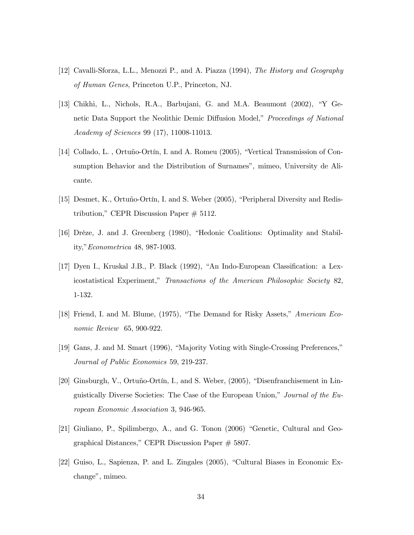- [12] Cavalli-Sforza, L.L., Menozzi P., and A. Piazza (1994), The History and Geography of Human Genes, Princeton U.P., Princeton, NJ.
- [13] Chikhi, L., Nichols, R.A., Barbujani, G. and M.A. Beaumont  $(2002)$ , "Y Genetic Data Support the Neolithic Demic Diffusion Model," Proceedings of National Academy of Sciences 99 (17), 11008-11013.
- [14] Collado, L., Ortuño-Ortín, I. and A. Romeu (2005), "Vertical Transmission of Consumption Behavior and the Distribution of Surnames", mimeo, University de Alicante.
- [15] Desmet, K., Ortuño-Ortín, I. and S. Weber (2005), "Peripheral Diversity and Redistribution," CEPR Discussion Paper  $# 5112$ .
- [16] Drèze, J. and J. Greenberg (1980), "Hedonic Coalitions: Optimality and Stability," *Econometrica* 48, 987-1003.
- $[17]$  Dyen I., Kruskal J.B., P. Black  $(1992)$ , "An Indo-European Classification: a Lexicostatistical Experiment," Transactions of the American Philosophic Society 82, 1-132.
- [18] Friend, I. and M. Blume,  $(1975)$ , "The Demand for Risky Assets," American Economic Review 65, 900-922.
- [19] Gans, J. and M. Smart (1996), "Majority Voting with Single-Crossing Preferences," Journal of Public Economics 59, 219-237.
- [20] Ginsburgh, V., Ortuño-Ortín, I., and S. Weber, (2005), "Disenfranchisement in Linguistically Diverse Societies: The Case of the European Union," Journal of the European Economic Association 3, 946-965.
- [21] Giuliano, P., Spilimbergo, A., and G. Tonon (2006) "Genetic, Cultural and Geographical Distances," CEPR Discussion Paper  $# 5807$ .
- $[22]$  Guiso, L., Sapienza, P. and L. Zingales  $(2005)$ , "Cultural Biases in Economic Exchange", mimeo.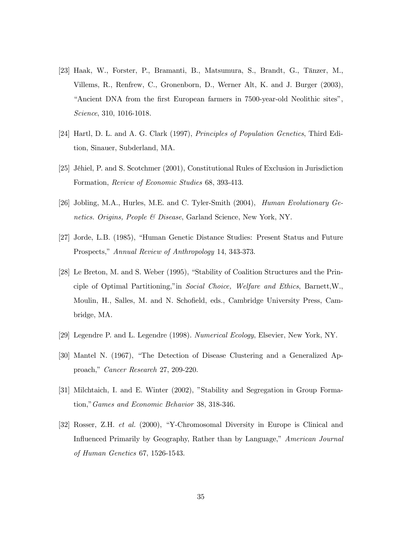- [23] Haak, W., Forster, P., Bramanti, B., Matsumura, S., Brandt, G., T‰nzer, M., Villems, R., Renfrew, C., Gronenborn, D., Werner Alt, K. and J. Burger (2003), ìAncient DNA from the first European farmers in 7500-year-old Neolithic sitesî, Science, 310, 1016-1018.
- [24] Hartl, D. L. and A. G. Clark (1997), Principles of Population Genetics, Third Edition, Sinauer, Subderland, MA.
- [25] JÈhiel, P. and S. Scotchmer (2001), Constitutional Rules of Exclusion in Jurisdiction Formation, Review of Economic Studies 68, 393-413.
- [26] Jobling, M.A., Hurles, M.E. and C. Tyler-Smith (2004), Human Evolutionary Genetics. Origins, People & Disease, Garland Science, New York, NY.
- [27] Jorde, L.B. (1985), "Human Genetic Distance Studies: Present Status and Future Prospects," Annual Review of Anthropology 14, 343-373.
- [28] Le Breton, M. and S. Weber (1995), "Stability of Coalition Structures and the Principle of Optimal Partitioning," in *Social Choice, Welfare and Ethics*, Barnett,W., Moulin, H., Salles, M. and N. Schofield, eds., Cambridge University Press, Cambridge, MA.
- [29] Legendre P. and L. Legendre (1998). Numerical Ecology, Elsevier, New York, NY.
- [30] Mantel N. (1967), "The Detection of Disease Clustering and a Generalized Approach," Cancer Research 27, 209-220.
- [31] Milchtaich, I. and E. Winter (2002), "Stability and Segregation in Group Formation," Games and Economic Behavior 38, 318-346.
- [32] Rosser, Z.H. *et al.* (2000), "Y-Chromosomal Diversity in Europe is Clinical and Influenced Primarily by Geography, Rather than by Language," American Journal of Human Genetics 67, 1526-1543.